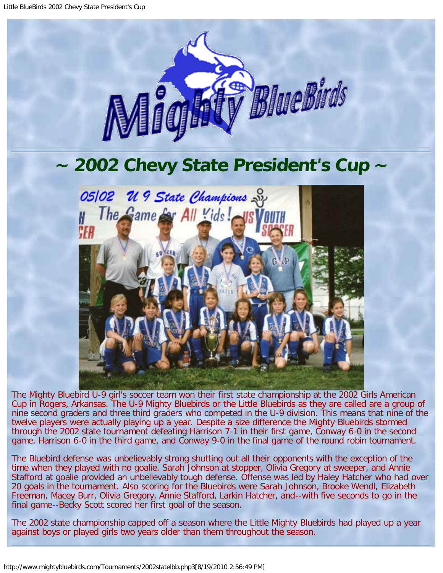

## **~ 2002 Chevy State President's Cup ~**



The Mighty Bluebird U-9 girl's soccer team won their first state championship at the 2002 Girls American Cup in Rogers, Arkansas. The U-9 Mighty Bluebirds or the Little Bluebirds as they are called are a group of nine second graders and three third graders who competed in the U-9 division. This means that nine of the twelve players were actually playing up a year. Despite a size difference the Mighty Bluebirds stormed through the 2002 state tournament defeating Harrison 7-1 in their first game, Conway 6-0 in the second game, Harrison 6-0 in the third game, and Conway 9-0 in the final game of the round robin tournament.

The Bluebird defense was unbelievably strong shutting out all their opponents with the exception of the time when they played with no goalie. Sarah Johnson at stopper, Olivia Gregory at sweeper, and Annie Stafford at goalie provided an unbelievably tough defense. Offense was led by Haley Hatcher who had over 20 goals in the tournament. Also scoring for the Bluebirds were Sarah Johnson, Brooke Wendl, Elizabeth Freeman, Macey Burr, Olivia Gregory, Annie Stafford, Larkin Hatcher, and--with five seconds to go in the final game--Becky Scott scored her first goal of the season.

The 2002 state championship capped off a season where the Little Mighty Bluebirds had played up a year against boys or played girls two years older than them throughout the season.